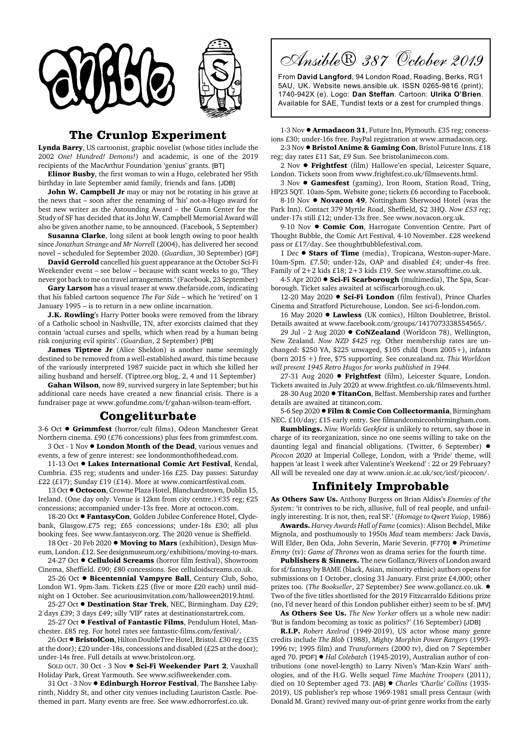

## **The Crunlop Experiment**

**Lynda Barry**, US cartoonist, graphic novelist (whose titles include the 2002 *One! Hundred! Demons!*) and academic, is one of the 2019 recipients of the MacArthur Foundation 'genius' grants. [BT]

**Elinor Busby**, the first woman to win a Hugo, celebrated her 95th birthday in late September amid family, friends and fans. [JDB]

**John W. Campbell Jr** may or may not be rotating in his grave at the news that – soon after the renaming of 'his' not-a-Hugo award for best new writer as the Astounding Award – the Gunn Center for the Study of SF has decided that its John W. Campbell Memorial Award will also be given another name, to be announced. (Facebook, 5 September)

**Susanna Clarke**, long silent at book length owing to poor health since *Jonathan Strange and Mr Norrell* (2004), has delivered her second novel – scheduled for September 2020. (*Guardian*, 30 September) [GF]

**David Gerrold** cancelled his guest appearance at the October Sci-Fi Weekender event – see below – because with scant weeks to go, 'They never got back to me on travel arrangements.' (Facebook, 23 September)

**Gary Larson** has a visual teaser at www.thefarside.com, indicating that his fabled cartoon sequence *The Far Side* – which he 'retired' on 1 January 1995 – is to return in a new online incarnation.

**J.K. Rowling**'s Harry Potter books were removed from the library of a Catholic school in Nashville, TN, after exorcists claimed that they contain 'actual curses and spells, which when read by a human being risk conjuring evil spirits'. (*Guardian*, 2 September) [PB]

James Tiptree Jr (Alice Sheldon) is another name seemingly destined to be removed from a well-established award, this time because of the variously interpreted 1987 suicide pact in which she killed her ailing husband and herself. (Tiptree.org blog, 2, 4 and 11 September)

**Gahan Wilson**, now 89, survived surgery in late September; but his additional care needs have created a new financial crisis. There is a fundraiser page at www.gofundme.com/f/gahan-wilson-team-effort.

## **Congeliturbate**

3-6 Oct  $\bullet$  Grimmfest (horror/cult films), Odeon Manchester Great Northern cinema. £90 (£76 concessions) plus fees from grimmfest.com.

3 Oct - 1 Nov ! **London Month of the Dead**, various venues and events, a few of genre interest: see londonmonthofthedead.com.

11-13 Oct  $\bullet$  Lakes International Comic Art Festival, Kendal, Cumbria. £35 reg; students and under-16s £25. Day passes: Saturday £22 (£17); Sunday £19 (£14). More at www.comicartfestival.com.

13 Oct  $\bullet$  Octocon, Crowne Plaza Hotel, Blanchardstown, Dublin 15, Ireland. (One day only. Venue is 12km from city centre.) €35 reg; €25 concessions; accompanied under-13s free. More at octocon.com.

18-20 Oct  $\bullet$  FantasyCon, Golden Jubilee Conference Hotel, Clydebank, Glasgow.£75 reg; £65 concessions; under-18s £30; all plus booking fees. See www.fantasycon.org. The 2020 venue is Sheffield.

18 Oct - 20 Feb 2020  $\bullet$  **Moving to Mars** (exhibition), Design Museum, London. £12. See designmuseum.org/exhibitions/moving-to-mars. 24-27 Oct ● **Celluloid Screams** (horror film festival), Showroom

Cinema, Sheffield. £90; £80 concessions. See celluloidscreams.co.uk.

25-26 Oct  $\bullet$  **Bicentennial Vampyre Ball**, Century Club, Soho, London W1. 9pm-3am. Tickets £25 (five or more £20 each) until midnight on 1 October. See acuriousinvitation.com/halloween2019.html.

25-27 Oct  $\bullet$  **Destination Star Trek**, NEC, Birmingham. Day £29; 2 days £39; 3 days £49; silly 'VIP' rates at destinationstartrek.com.

25-27 Oct  $\bullet$  Festival of Fantastic Films, Pendulum Hotel, Manchester. £85 reg. For hotel rates see fantastic-films.com/festival/.

26 Oct  $\bullet$  BristolCon, Hilton DoubleTree Hotel, Bristol. £30 reg (£35 at the door); £20 under-18s, concessions and disabled (£25 at the door); under-14s free. Full details at www.bristolcon.org.

SOLD OUT. 30 Oct - 3 Nov ! **Sci-Fi Weekender Part 2**, Vauxhall Holiday Park, Great Yarmouth. See www.scifiweekender.com.

31 Oct - 3 Nov  $\bullet$  **Edinburgh Horror Festival**, The Banshee Labyrinth, Niddry St, and other city venues including Lauriston Castle. Poethemed in part. Many events are free. See www.edhorrorfest.co.uk.

Ansible® 387 October 2019

From **David Langford**, 94 London Road, Reading, Berks, RG1 5AU, UK. Website news.ansible.uk. ISSN 0265-9816 (print); 1740-942X (e). Logo: **Dan Steffan**. Cartoon: **Ulrika O'Brien**. Available for SAE, Tundist texts or a zest for crumpled things.

1-3 Nov ! **Armadacon 31**, Future Inn, Plymouth. £35 reg; concessions £30; under-16s free. PayPal registration at www.armadacon.org.

2-3 Nov ! **Bristol Anime & Gaming Con**, Bristol Future Inns. £18 reg; day rates £11 Sat, £9 Sun. See bristolanimecon.com.

2 Nov ! **Frightfest** (film) Hallowe'en special, Leicester Square, London. Tickets soon from www.frightfest.co.uk/filmsevents.html.

3 Nov ! **Gamesfest** (gaming), Iron Room, Station Road, Tring, HP23 5QT. 10am-5pm. Website gone; tickets £6 according to Facebook.

8-10 Nov  $\bullet$  **Novacon 49**, Nottingham Sherwood Hotel (was the Park Inn). Contact 379 Myrtle Road, Sheffield, S2 3HQ. *Now £53 reg*; under-17s still £12; under-13s free. See www.novacon.org.uk.

9-10 Nov  $\bullet$  **Comic Con**, Harrogate Convention Centre. Part of Thought Bubble, the Comic Art Festival, 4-10 November. £28 weekend pass or £17/day. See thoughtbubblefestival.com.

1 Dec  $\bullet$  **Stars of Time** (media), Tropicana, Weston-super-Mare. 10am-5pm. £7.50; under-12s, OAP and disabled £4; under-4s free. Family of 2+2 kids £18; 2+3 kids £19. See www.starsoftime.co.uk.

4-5 Apr 2020 **· Sci-Fi Scarborough** (multimedia), The Spa, Scarborough. Ticket sales awaited at scifiscarborough.co.uk.

12-20 May 2020 **· Sci-Fi London** (film festival), Prince Charles Cinema and Stratford Picturehouse, London. See sci-fi-london.com.

16 May 2020 . Lawless (UK comics), Hilton Doubletree, Bristol. Details awaited at www.facebook.com/groups/1417073338554565/.

29 Jul - 2 Aug 2020 ! **CoNZealand** (Worldcon 78), Wellington, New Zealand. *Now NZD \$425 reg.* Other membership rates are unchanged: \$250 YA, \$225 unwaged, \$105 child (born 2005+), infants (born 2015 +) free, \$75 supporting. See conzealand.nz. *This Worldcon will present 1945 Retro Hugos for works published in 1944.*

27-31 Aug 2020 **· Frightfest** (film), Leicester Square, London. Tickets awaited in July 2020 at www.frightfest.co.uk/filmsevents.html.

28-30 Aug 2020 **· TitanCon**, Belfast. Membership rates and further details are awaited at titancon.com.

5-6 Sep 2020 !**Film & Comic Con Collectormania**, Birmingham NEC. £10/day; £15 early entry. See filmandcomicconbirmingham.com.

**Rumblings.** *Nine Worlds Geekfest* is unlikely to return, say those in charge of its reorganization, since no one seems willing to take on the daunting legal and financial obligations. (Twitter, 6 September)  $\bullet$ *Picocon 2020* at Imperial College, London, with a 'Pride' theme, will happen 'at least 1 week after Valentine's Weekend' : 22 or 29 February? All will be revealed one day at www.union.ic.ac.uk/scc/icsf/picocon/.

## **Infinitely Improbable**

**As Others Saw Us.** Anthony Burgess on Brian Aldiss's *Enemies of the System*: 'it contrives to be rich, allusive, full of real people, and unfailingly interesting. It is not, then, real SF.' (*Homage to Qwert Yuiop*, 1986)

**Awards.** *Harvey Awards Hall of Fame* (comics): Alison Bechdel, Mike Mignola, and posthumously to 1950s *Mad* team members: Jack Davis, Will Elder, Ben Oda, John Severin, Marie Severin. [F770] ! *Primetime Emmy* (tv): *Game of Thrones* won as drama series for the fourth time.

**Publishers & Sinners.** The new Gollancz/Rivers of London award for sf/fantasy by BAME (black, Asian, minority ethnic) authors opens for submissions on 1 October, closing 31 January. First prize £4,000; other prizes too. (*The Bookseller*, 27 September) See www.gollancz.co.uk. ! Two of the five titles shortlisted for the 2019 Fitzcarraldo Editions prize (no, I'd never heard of this London publisher either) seem to be sf. [MV]

**As Others See Us.** *The New Yorker* offers us a whole new nadir: 'But is fandom becoming as toxic as politics?' (16 September) [JDB]

**R.I.P.** *Robert Axelrod* (1949-2019), US actor whose many genre credits include *The Blob* (1988), *Mighty Morphin Power Rangers* (1993- 1996 tv; 1995 film) and *Transformers* (2000 tv), died on 7 September aged 70. [PDF] ● *Hal Colebatch* (1945-2019), Australian author of contributions (one novel-length) to Larry Niven's 'Man-Kzin Wars' anthologies, and of the H.G. Wells sequel *Time Machine Troopers* (2011), died on 10 September aged 73. [AB] ! *Charles 'Charlie' Collins* (1935- 2019), US publisher's rep whose 1969-1981 small press Centaur (with Donald M. Grant) revived many out-of-print genre works from the early